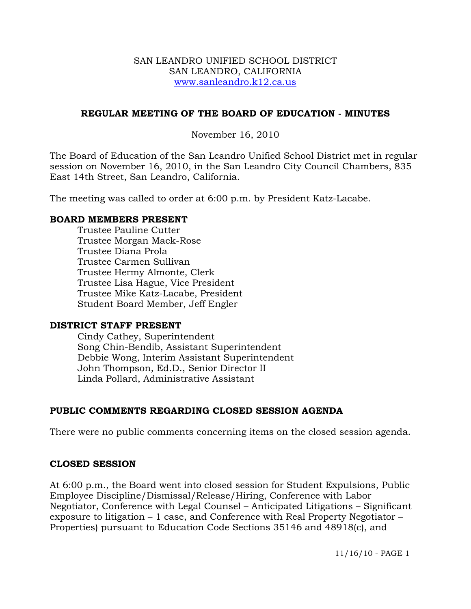#### SAN LEANDRO UNIFIED SCHOOL DISTRICT SAN LEANDRO, CALIFORNIA www.sanleandro.k12.ca.us

## **REGULAR MEETING OF THE BOARD OF EDUCATION - MINUTES**

## November 16, 2010

The Board of Education of the San Leandro Unified School District met in regular session on November 16, 2010, in the San Leandro City Council Chambers, 835 East 14th Street, San Leandro, California.

The meeting was called to order at 6:00 p.m. by President Katz-Lacabe.

## **BOARD MEMBERS PRESENT**

Trustee Pauline Cutter Trustee Morgan Mack-Rose Trustee Diana Prola Trustee Carmen Sullivan Trustee Hermy Almonte, Clerk Trustee Lisa Hague, Vice President Trustee Mike Katz-Lacabe, President Student Board Member, Jeff Engler

## **DISTRICT STAFF PRESENT**

Cindy Cathey, Superintendent Song Chin-Bendib, Assistant Superintendent Debbie Wong, Interim Assistant Superintendent John Thompson, Ed.D., Senior Director II Linda Pollard, Administrative Assistant

# **PUBLIC COMMENTS REGARDING CLOSED SESSION AGENDA**

There were no public comments concerning items on the closed session agenda.

# **CLOSED SESSION**

At 6:00 p.m., the Board went into closed session for Student Expulsions, Public Employee Discipline/Dismissal/Release/Hiring, Conference with Labor Negotiator, Conference with Legal Counsel – Anticipated Litigations – Significant exposure to litigation – 1 case, and Conference with Real Property Negotiator – Properties) pursuant to Education Code Sections 35146 and 48918(c), and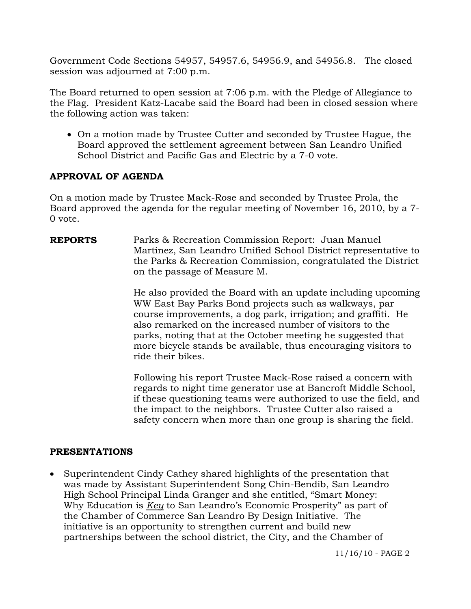Government Code Sections 54957, 54957.6, 54956.9, and 54956.8. The closed session was adjourned at 7:00 p.m.

The Board returned to open session at 7:06 p.m. with the Pledge of Allegiance to the Flag. President Katz-Lacabe said the Board had been in closed session where the following action was taken:

• On a motion made by Trustee Cutter and seconded by Trustee Hague, the Board approved the settlement agreement between San Leandro Unified School District and Pacific Gas and Electric by a 7-0 vote.

# **APPROVAL OF AGENDA**

On a motion made by Trustee Mack-Rose and seconded by Trustee Prola, the Board approved the agenda for the regular meeting of November 16, 2010, by a 7- 0 vote.

**REPORTS** Parks & Recreation Commission Report: Juan Manuel Martinez, San Leandro Unified School District representative to the Parks & Recreation Commission, congratulated the District on the passage of Measure M.

> He also provided the Board with an update including upcoming WW East Bay Parks Bond projects such as walkways, par course improvements, a dog park, irrigation; and graffiti. He also remarked on the increased number of visitors to the parks, noting that at the October meeting he suggested that more bicycle stands be available, thus encouraging visitors to ride their bikes.

> Following his report Trustee Mack-Rose raised a concern with regards to night time generator use at Bancroft Middle School, if these questioning teams were authorized to use the field, and the impact to the neighbors. Trustee Cutter also raised a safety concern when more than one group is sharing the field.

## **PRESENTATIONS**

 Superintendent Cindy Cathey shared highlights of the presentation that was made by Assistant Superintendent Song Chin-Bendib, San Leandro High School Principal Linda Granger and she entitled, "Smart Money: Why Education is *Key* to San Leandro's Economic Prosperity" as part of the Chamber of Commerce San Leandro By Design Initiative. The initiative is an opportunity to strengthen current and build new partnerships between the school district, the City, and the Chamber of

11/16/10 - PAGE 2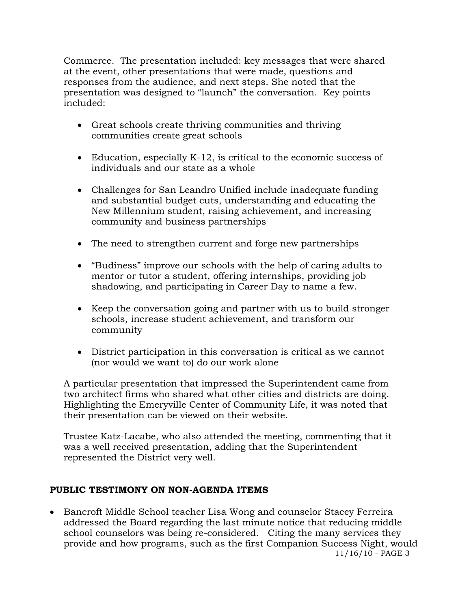Commerce. The presentation included: key messages that were shared at the event, other presentations that were made, questions and responses from the audience, and next steps. She noted that the presentation was designed to "launch" the conversation. Key points included:

- Great schools create thriving communities and thriving communities create great schools
- Education, especially K-12, is critical to the economic success of individuals and our state as a whole
- Challenges for San Leandro Unified include inadequate funding and substantial budget cuts, understanding and educating the New Millennium student, raising achievement, and increasing community and business partnerships
- The need to strengthen current and forge new partnerships
- "Budiness" improve our schools with the help of caring adults to mentor or tutor a student, offering internships, providing job shadowing, and participating in Career Day to name a few.
- Keep the conversation going and partner with us to build stronger schools, increase student achievement, and transform our community
- District participation in this conversation is critical as we cannot (nor would we want to) do our work alone

 A particular presentation that impressed the Superintendent came from two architect firms who shared what other cities and districts are doing. Highlighting the Emeryville Center of Community Life, it was noted that their presentation can be viewed on their website.

 Trustee Katz-Lacabe, who also attended the meeting, commenting that it was a well received presentation, adding that the Superintendent represented the District very well.

## **PUBLIC TESTIMONY ON NON-AGENDA ITEMS**

11/16/10 - PAGE 3 Bancroft Middle School teacher Lisa Wong and counselor Stacey Ferreira addressed the Board regarding the last minute notice that reducing middle school counselors was being re-considered. Citing the many services they provide and how programs, such as the first Companion Success Night, would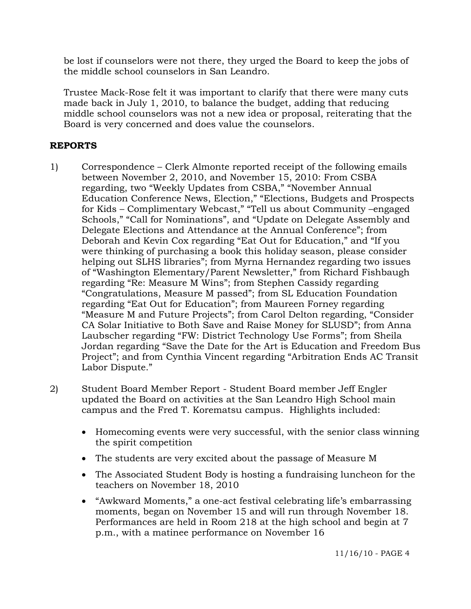be lost if counselors were not there, they urged the Board to keep the jobs of the middle school counselors in San Leandro.

Trustee Mack-Rose felt it was important to clarify that there were many cuts made back in July 1, 2010, to balance the budget, adding that reducing middle school counselors was not a new idea or proposal, reiterating that the Board is very concerned and does value the counselors.

# **REPORTS**

- 1) Correspondence Clerk Almonte reported receipt of the following emails between November 2, 2010, and November 15, 2010: From CSBA regarding, two "Weekly Updates from CSBA," "November Annual Education Conference News, Election," "Elections, Budgets and Prospects for Kids – Complimentary Webcast," "Tell us about Community –engaged Schools," "Call for Nominations", and "Update on Delegate Assembly and Delegate Elections and Attendance at the Annual Conference"; from Deborah and Kevin Cox regarding "Eat Out for Education," and "If you were thinking of purchasing a book this holiday season, please consider helping out SLHS libraries"; from Myrna Hernandez regarding two issues of "Washington Elementary/Parent Newsletter," from Richard Fishbaugh regarding "Re: Measure M Wins"; from Stephen Cassidy regarding "Congratulations, Measure M passed"; from SL Education Foundation regarding "Eat Out for Education"; from Maureen Forney regarding "Measure M and Future Projects"; from Carol Delton regarding, "Consider CA Solar Initiative to Both Save and Raise Money for SLUSD"; from Anna Laubscher regarding "FW: District Technology Use Forms"; from Sheila Jordan regarding "Save the Date for the Art is Education and Freedom Bus Project"; and from Cynthia Vincent regarding "Arbitration Ends AC Transit Labor Dispute."
- 2) Student Board Member Report Student Board member Jeff Engler updated the Board on activities at the San Leandro High School main campus and the Fred T. Korematsu campus. Highlights included:
	- Homecoming events were very successful, with the senior class winning the spirit competition
	- The students are very excited about the passage of Measure M
	- The Associated Student Body is hosting a fundraising luncheon for the teachers on November 18, 2010
	- "Awkward Moments," a one-act festival celebrating life's embarrassing moments, began on November 15 and will run through November 18. Performances are held in Room 218 at the high school and begin at 7 p.m., with a matinee performance on November 16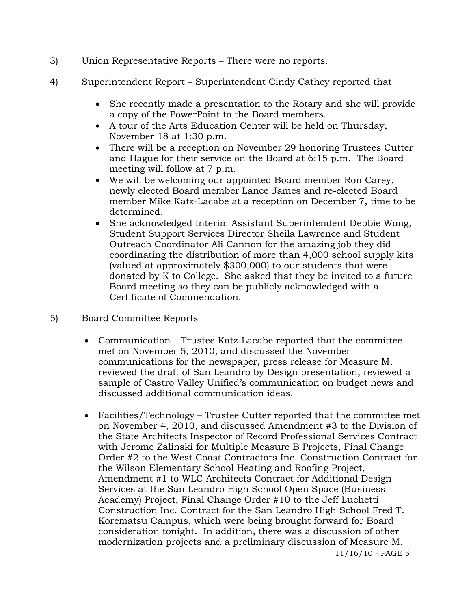- 3) Union Representative Reports There were no reports.
- 4) Superintendent Report Superintendent Cindy Cathey reported that
	- She recently made a presentation to the Rotary and she will provide a copy of the PowerPoint to the Board members.
	- A tour of the Arts Education Center will be held on Thursday, November 18 at 1:30 p.m.
	- There will be a reception on November 29 honoring Trustees Cutter and Hague for their service on the Board at 6:15 p.m. The Board meeting will follow at 7 p.m.
	- We will be welcoming our appointed Board member Ron Carey, newly elected Board member Lance James and re-elected Board member Mike Katz-Lacabe at a reception on December 7, time to be determined.
	- She acknowledged Interim Assistant Superintendent Debbie Wong, Student Support Services Director Sheila Lawrence and Student Outreach Coordinator Ali Cannon for the amazing job they did coordinating the distribution of more than 4,000 school supply kits (valued at approximately \$300,000) to our students that were donated by K to College. She asked that they be invited to a future Board meeting so they can be publicly acknowledged with a Certificate of Commendation.
- 5) Board Committee Reports
	- Communication Trustee Katz-Lacabe reported that the committee met on November 5, 2010, and discussed the November communications for the newspaper, press release for Measure M, reviewed the draft of San Leandro by Design presentation, reviewed a sample of Castro Valley Unified's communication on budget news and discussed additional communication ideas.
	- Facilities/Technology Trustee Cutter reported that the committee met on November 4, 2010, and discussed Amendment #3 to the Division of the State Architects Inspector of Record Professional Services Contract with Jerome Zalinski for Multiple Measure B Projects, Final Change Order #2 to the West Coast Contractors Inc. Construction Contract for the Wilson Elementary School Heating and Roofing Project, Amendment #1 to WLC Architects Contract for Additional Design Services at the San Leandro High School Open Space (Business Academy) Project, Final Change Order #10 to the Jeff Luchetti Construction Inc. Contract for the San Leandro High School Fred T. Korematsu Campus, which were being brought forward for Board consideration tonight. In addition, there was a discussion of other modernization projects and a preliminary discussion of Measure M.

11/16/10 - PAGE 5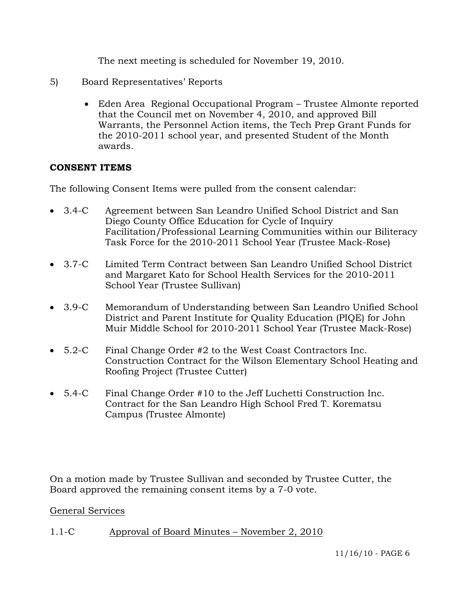The next meeting is scheduled for November 19, 2010.

- 5) Board Representatives' Reports
	- Eden Area Regional Occupational Program Trustee Almonte reported that the Council met on November 4, 2010, and approved Bill Warrants, the Personnel Action items, the Tech Prep Grant Funds for the 2010-2011 school year, and presented Student of the Month awards.

## **CONSENT ITEMS**

The following Consent Items were pulled from the consent calendar:

- 3.4-C Agreement between San Leandro Unified School District and San Diego County Office Education for Cycle of Inquiry Facilitation/Professional Learning Communities within our Biliteracy Task Force for the 2010-2011 School Year (Trustee Mack-Rose)
- 3.7-C Limited Term Contract between San Leandro Unified School District and Margaret Kato for School Health Services for the 2010-2011 School Year (Trustee Sullivan)
- 3.9-C Memorandum of Understanding between San Leandro Unified School District and Parent Institute for Quality Education (PIQE) for John Muir Middle School for 2010-2011 School Year (Trustee Mack-Rose)
- 5.2-C Final Change Order #2 to the West Coast Contractors Inc. Construction Contract for the Wilson Elementary School Heating and Roofing Project (Trustee Cutter)
- 5.4-C Final Change Order #10 to the Jeff Luchetti Construction Inc. Contract for the San Leandro High School Fred T. Korematsu Campus (Trustee Almonte)

On a motion made by Trustee Sullivan and seconded by Trustee Cutter, the Board approved the remaining consent items by a 7-0 vote.

## General Services

1.1-C Approval of Board Minutes – November 2, 2010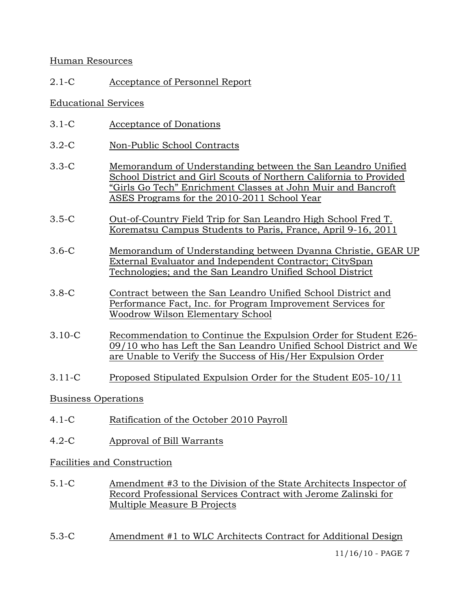## Human Resources

# 2.1-C Acceptance of Personnel Report

## Educational Services

- 3.1-C Acceptance of Donations
- 3.2-C Non-Public School Contracts
- 3.3-C Memorandum of Understanding between the San Leandro Unified School District and Girl Scouts of Northern California to Provided "Girls Go Tech" Enrichment Classes at John Muir and Bancroft ASES Programs for the 2010-2011 School Year
- 3.5-C Out-of-Country Field Trip for San Leandro High School Fred T. Korematsu Campus Students to Paris, France, April 9-16, 2011
- 3.6-C Memorandum of Understanding between Dyanna Christie, GEAR UP External Evaluator and Independent Contractor; CitySpan Technologies; and the San Leandro Unified School District
- 3.8-C Contract between the San Leandro Unified School District and Performance Fact, Inc. for Program Improvement Services for Woodrow Wilson Elementary School
- 3.10-C Recommendation to Continue the Expulsion Order for Student E26- 09/10 who has Left the San Leandro Unified School District and We are Unable to Verify the Success of His/Her Expulsion Order
- 3.11-C Proposed Stipulated Expulsion Order for the Student E05-10/11

## Business Operations

- 4.1-C Ratification of the October 2010 Payroll
- 4.2-C Approval of Bill Warrants

## Facilities and Construction

- 5.1-C Amendment #3 to the Division of the State Architects Inspector of Record Professional Services Contract with Jerome Zalinski for Multiple Measure B Projects
- 5.3-C Amendment #1 to WLC Architects Contract for Additional Design

11/16/10 - PAGE 7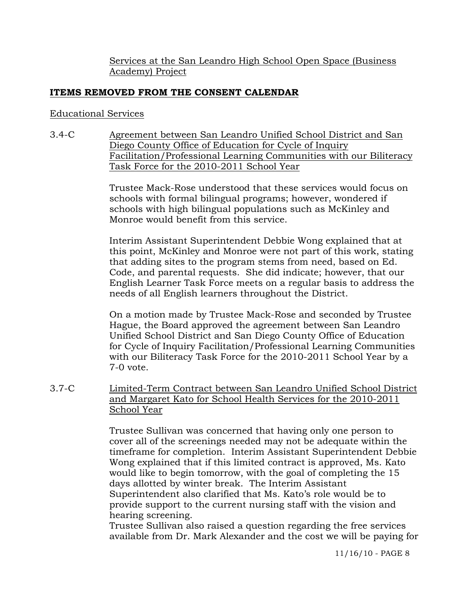Services at the San Leandro High School Open Space (Business Academy) Project

# **ITEMS REMOVED FROM THE CONSENT CALENDAR**

## Educational Services

3.4-C Agreement between San Leandro Unified School District and San Diego County Office of Education for Cycle of Inquiry Facilitation/Professional Learning Communities with our Biliteracy Task Force for the 2010-2011 School Year

> Trustee Mack-Rose understood that these services would focus on schools with formal bilingual programs; however, wondered if schools with high bilingual populations such as McKinley and Monroe would benefit from this service.

Interim Assistant Superintendent Debbie Wong explained that at this point, McKinley and Monroe were not part of this work, stating that adding sites to the program stems from need, based on Ed. Code, and parental requests. She did indicate; however, that our English Learner Task Force meets on a regular basis to address the needs of all English learners throughout the District.

On a motion made by Trustee Mack-Rose and seconded by Trustee Hague, the Board approved the agreement between San Leandro Unified School District and San Diego County Office of Education for Cycle of Inquiry Facilitation/Professional Learning Communities with our Biliteracy Task Force for the 2010-2011 School Year by a 7-0 vote.

3.7-C Limited-Term Contract between San Leandro Unified School District and Margaret Kato for School Health Services for the 2010-2011 School Year

> Trustee Sullivan was concerned that having only one person to cover all of the screenings needed may not be adequate within the timeframe for completion. Interim Assistant Superintendent Debbie Wong explained that if this limited contract is approved, Ms. Kato would like to begin tomorrow, with the goal of completing the 15 days allotted by winter break. The Interim Assistant Superintendent also clarified that Ms. Kato's role would be to provide support to the current nursing staff with the vision and hearing screening.

> Trustee Sullivan also raised a question regarding the free services available from Dr. Mark Alexander and the cost we will be paying for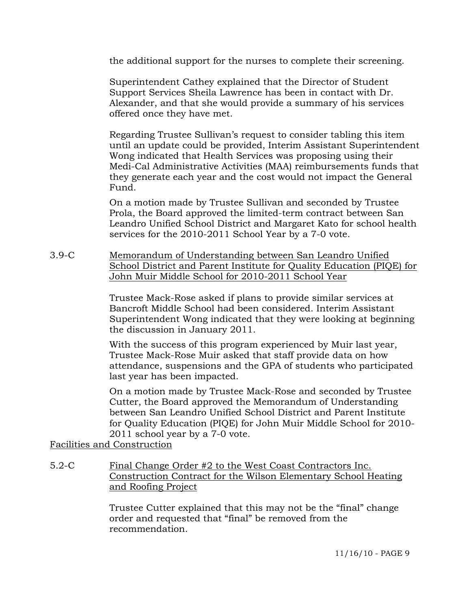the additional support for the nurses to complete their screening.

Superintendent Cathey explained that the Director of Student Support Services Sheila Lawrence has been in contact with Dr. Alexander, and that she would provide a summary of his services offered once they have met.

Regarding Trustee Sullivan's request to consider tabling this item until an update could be provided, Interim Assistant Superintendent Wong indicated that Health Services was proposing using their Medi-Cal Administrative Activities (MAA) reimbursements funds that they generate each year and the cost would not impact the General Fund.

On a motion made by Trustee Sullivan and seconded by Trustee Prola, the Board approved the limited-term contract between San Leandro Unified School District and Margaret Kato for school health services for the 2010-2011 School Year by a 7-0 vote.

3.9-C Memorandum of Understanding between San Leandro Unified School District and Parent Institute for Quality Education (PIQE) for John Muir Middle School for 2010-2011 School Year

> Trustee Mack-Rose asked if plans to provide similar services at Bancroft Middle School had been considered. Interim Assistant Superintendent Wong indicated that they were looking at beginning the discussion in January 2011.

> With the success of this program experienced by Muir last year, Trustee Mack-Rose Muir asked that staff provide data on how attendance, suspensions and the GPA of students who participated last year has been impacted.

> On a motion made by Trustee Mack-Rose and seconded by Trustee Cutter, the Board approved the Memorandum of Understanding between San Leandro Unified School District and Parent Institute for Quality Education (PIQE) for John Muir Middle School for 2010- 2011 school year by a 7-0 vote.

Facilities and Construction

5.2-C Final Change Order #2 to the West Coast Contractors Inc. Construction Contract for the Wilson Elementary School Heating and Roofing Project

> Trustee Cutter explained that this may not be the "final" change order and requested that "final" be removed from the recommendation.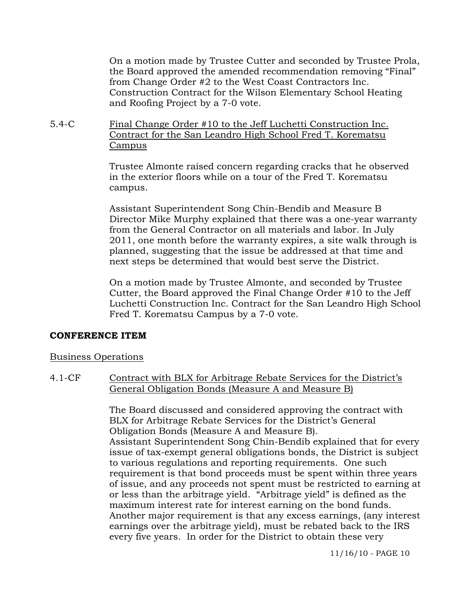On a motion made by Trustee Cutter and seconded by Trustee Prola, the Board approved the amended recommendation removing "Final" from Change Order #2 to the West Coast Contractors Inc. Construction Contract for the Wilson Elementary School Heating and Roofing Project by a 7-0 vote.

5.4-C Final Change Order #10 to the Jeff Luchetti Construction Inc. Contract for the San Leandro High School Fred T. Korematsu Campus

> Trustee Almonte raised concern regarding cracks that he observed in the exterior floors while on a tour of the Fred T. Korematsu campus.

Assistant Superintendent Song Chin-Bendib and Measure B Director Mike Murphy explained that there was a one-year warranty from the General Contractor on all materials and labor. In July 2011, one month before the warranty expires, a site walk through is planned, suggesting that the issue be addressed at that time and next steps be determined that would best serve the District.

On a motion made by Trustee Almonte, and seconded by Trustee Cutter, the Board approved the Final Change Order #10 to the Jeff Luchetti Construction Inc. Contract for the San Leandro High School Fred T. Korematsu Campus by a 7-0 vote.

#### **CONFERENCE ITEM**

#### Business Operations

4.1-CF Contract with BLX for Arbitrage Rebate Services for the District's General Obligation Bonds (Measure A and Measure B)

> The Board discussed and considered approving the contract with BLX for Arbitrage Rebate Services for the District's General Obligation Bonds (Measure A and Measure B). Assistant Superintendent Song Chin-Bendib explained that for every issue of tax-exempt general obligations bonds, the District is subject to various regulations and reporting requirements. One such requirement is that bond proceeds must be spent within three years of issue, and any proceeds not spent must be restricted to earning at or less than the arbitrage yield. "Arbitrage yield" is defined as the maximum interest rate for interest earning on the bond funds. Another major requirement is that any excess earnings, (any interest earnings over the arbitrage yield), must be rebated back to the IRS every five years. In order for the District to obtain these very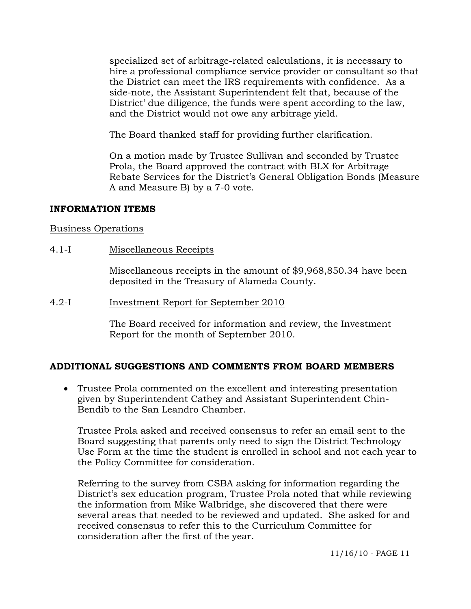specialized set of arbitrage-related calculations, it is necessary to hire a professional compliance service provider or consultant so that the District can meet the IRS requirements with confidence. As a side-note, the Assistant Superintendent felt that, because of the District' due diligence, the funds were spent according to the law, and the District would not owe any arbitrage yield.

The Board thanked staff for providing further clarification.

On a motion made by Trustee Sullivan and seconded by Trustee Prola, the Board approved the contract with BLX for Arbitrage Rebate Services for the District's General Obligation Bonds (Measure A and Measure B) by a 7-0 vote.

#### **INFORMATION ITEMS**

#### Business Operations

4.1-I Miscellaneous Receipts

Miscellaneous receipts in the amount of \$9,968,850.34 have been deposited in the Treasury of Alameda County.

4.2-I Investment Report for September 2010

The Board received for information and review, the Investment Report for the month of September 2010.

## **ADDITIONAL SUGGESTIONS AND COMMENTS FROM BOARD MEMBERS**

 Trustee Prola commented on the excellent and interesting presentation given by Superintendent Cathey and Assistant Superintendent Chin-Bendib to the San Leandro Chamber.

Trustee Prola asked and received consensus to refer an email sent to the Board suggesting that parents only need to sign the District Technology Use Form at the time the student is enrolled in school and not each year to the Policy Committee for consideration.

Referring to the survey from CSBA asking for information regarding the District's sex education program, Trustee Prola noted that while reviewing the information from Mike Walbridge, she discovered that there were several areas that needed to be reviewed and updated. She asked for and received consensus to refer this to the Curriculum Committee for consideration after the first of the year.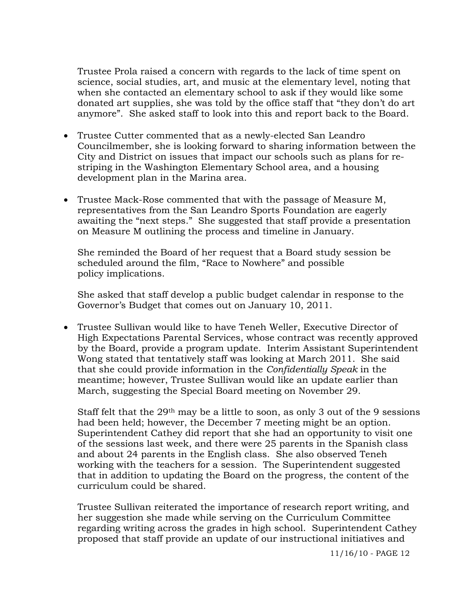Trustee Prola raised a concern with regards to the lack of time spent on science, social studies, art, and music at the elementary level, noting that when she contacted an elementary school to ask if they would like some donated art supplies, she was told by the office staff that "they don't do art anymore". She asked staff to look into this and report back to the Board.

- Trustee Cutter commented that as a newly-elected San Leandro Councilmember, she is looking forward to sharing information between the City and District on issues that impact our schools such as plans for restriping in the Washington Elementary School area, and a housing development plan in the Marina area.
- Trustee Mack-Rose commented that with the passage of Measure M, representatives from the San Leandro Sports Foundation are eagerly awaiting the "next steps." She suggested that staff provide a presentation on Measure M outlining the process and timeline in January.

She reminded the Board of her request that a Board study session be scheduled around the film, "Race to Nowhere" and possible policy implications.

She asked that staff develop a public budget calendar in response to the Governor's Budget that comes out on January 10, 2011.

 Trustee Sullivan would like to have Teneh Weller, Executive Director of High Expectations Parental Services, whose contract was recently approved by the Board, provide a program update. Interim Assistant Superintendent Wong stated that tentatively staff was looking at March 2011. She said that she could provide information in the *Confidentially Speak* in the meantime; however, Trustee Sullivan would like an update earlier than March, suggesting the Special Board meeting on November 29.

Staff felt that the  $29<sup>th</sup>$  may be a little to soon, as only 3 out of the 9 sessions had been held; however, the December 7 meeting might be an option. Superintendent Cathey did report that she had an opportunity to visit one of the sessions last week, and there were 25 parents in the Spanish class and about 24 parents in the English class. She also observed Teneh working with the teachers for a session. The Superintendent suggested that in addition to updating the Board on the progress, the content of the curriculum could be shared.

Trustee Sullivan reiterated the importance of research report writing, and her suggestion she made while serving on the Curriculum Committee regarding writing across the grades in high school. Superintendent Cathey proposed that staff provide an update of our instructional initiatives and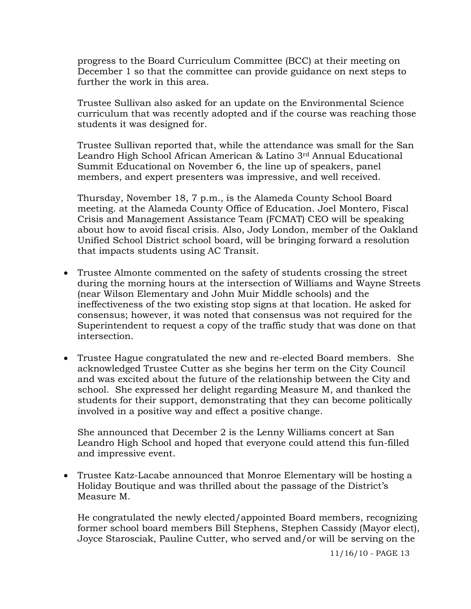progress to the Board Curriculum Committee (BCC) at their meeting on December 1 so that the committee can provide guidance on next steps to further the work in this area.

Trustee Sullivan also asked for an update on the Environmental Science curriculum that was recently adopted and if the course was reaching those students it was designed for.

Trustee Sullivan reported that, while the attendance was small for the San Leandro High School African American & Latino 3rd Annual Educational Summit Educational on November 6, the line up of speakers, panel members, and expert presenters was impressive, and well received.

Thursday, November 18, 7 p.m., is the Alameda County School Board meeting. at the Alameda County Office of Education. Joel Montero, Fiscal Crisis and Management Assistance Team (FCMAT) CEO will be speaking about how to avoid fiscal crisis. Also, Jody London, member of the Oakland Unified School District school board, will be bringing forward a resolution that impacts students using AC Transit.

- Trustee Almonte commented on the safety of students crossing the street during the morning hours at the intersection of Williams and Wayne Streets (near Wilson Elementary and John Muir Middle schools) and the ineffectiveness of the two existing stop signs at that location. He asked for consensus; however, it was noted that consensus was not required for the Superintendent to request a copy of the traffic study that was done on that intersection.
- Trustee Hague congratulated the new and re-elected Board members. She acknowledged Trustee Cutter as she begins her term on the City Council and was excited about the future of the relationship between the City and school. She expressed her delight regarding Measure M, and thanked the students for their support, demonstrating that they can become politically involved in a positive way and effect a positive change.

She announced that December 2 is the Lenny Williams concert at San Leandro High School and hoped that everyone could attend this fun-filled and impressive event.

 Trustee Katz-Lacabe announced that Monroe Elementary will be hosting a Holiday Boutique and was thrilled about the passage of the District's Measure M.

He congratulated the newly elected/appointed Board members, recognizing former school board members Bill Stephens, Stephen Cassidy (Mayor elect), Joyce Starosciak, Pauline Cutter, who served and/or will be serving on the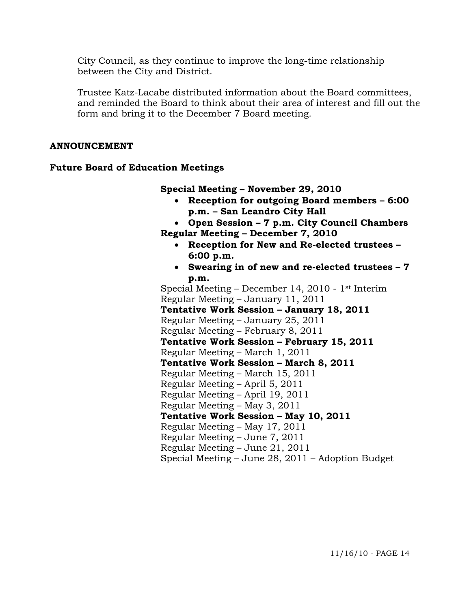City Council, as they continue to improve the long-time relationship between the City and District.

Trustee Katz-Lacabe distributed information about the Board committees, and reminded the Board to think about their area of interest and fill out the form and bring it to the December 7 Board meeting.

#### **ANNOUNCEMENT**

#### **Future Board of Education Meetings**

**Special Meeting – November 29, 2010** 

- **Reception for outgoing Board members 6:00 p.m. – San Leandro City Hall**
- **Open Session 7 p.m. City Council Chambers Regular Meeting – December 7, 2010** 
	- **Reception for New and Re-elected trustees 6:00 p.m.**
	- **Swearing in of new and re-elected trustees 7 p.m.**

 Special Meeting – December 14, 2010 - 1st Interim Regular Meeting – January 11, 2011  **Tentative Work Session – January 18, 2011**  Regular Meeting – January 25, 2011 Regular Meeting – February 8, 2011  **Tentative Work Session – February 15, 2011**  Regular Meeting – March 1, 2011  **Tentative Work Session – March 8, 2011**  Regular Meeting – March 15, 2011 Regular Meeting – April 5, 2011 Regular Meeting – April 19, 2011 Regular Meeting – May 3, 2011  **Tentative Work Session – May 10, 2011**  Regular Meeting – May 17, 2011 Regular Meeting – June 7, 2011 Regular Meeting – June 21, 2011 Special Meeting – June 28, 2011 – Adoption Budget